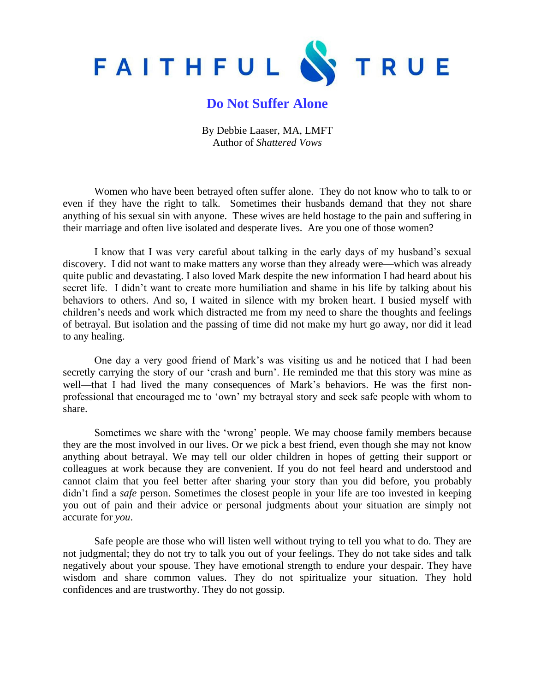

## **Do Not Suffer Alone**

By Debbie Laaser, MA, LMFT Author of *Shattered Vows*

Women who have been betrayed often suffer alone. They do not know who to talk to or even if they have the right to talk. Sometimes their husbands demand that they not share anything of his sexual sin with anyone. These wives are held hostage to the pain and suffering in their marriage and often live isolated and desperate lives. Are you one of those women?

I know that I was very careful about talking in the early days of my husband's sexual discovery. I did not want to make matters any worse than they already were—which was already quite public and devastating. I also loved Mark despite the new information I had heard about his secret life. I didn't want to create more humiliation and shame in his life by talking about his behaviors to others. And so, I waited in silence with my broken heart. I busied myself with children's needs and work which distracted me from my need to share the thoughts and feelings of betrayal. But isolation and the passing of time did not make my hurt go away, nor did it lead to any healing.

One day a very good friend of Mark's was visiting us and he noticed that I had been secretly carrying the story of our 'crash and burn'. He reminded me that this story was mine as well—that I had lived the many consequences of Mark's behaviors. He was the first nonprofessional that encouraged me to 'own' my betrayal story and seek safe people with whom to share.

Sometimes we share with the 'wrong' people. We may choose family members because they are the most involved in our lives. Or we pick a best friend, even though she may not know anything about betrayal. We may tell our older children in hopes of getting their support or colleagues at work because they are convenient. If you do not feel heard and understood and cannot claim that you feel better after sharing your story than you did before, you probably didn't find a *safe* person. Sometimes the closest people in your life are too invested in keeping you out of pain and their advice or personal judgments about your situation are simply not accurate for *you*.

Safe people are those who will listen well without trying to tell you what to do. They are not judgmental; they do not try to talk you out of your feelings. They do not take sides and talk negatively about your spouse. They have emotional strength to endure your despair. They have wisdom and share common values. They do not spiritualize your situation. They hold confidences and are trustworthy. They do not gossip.